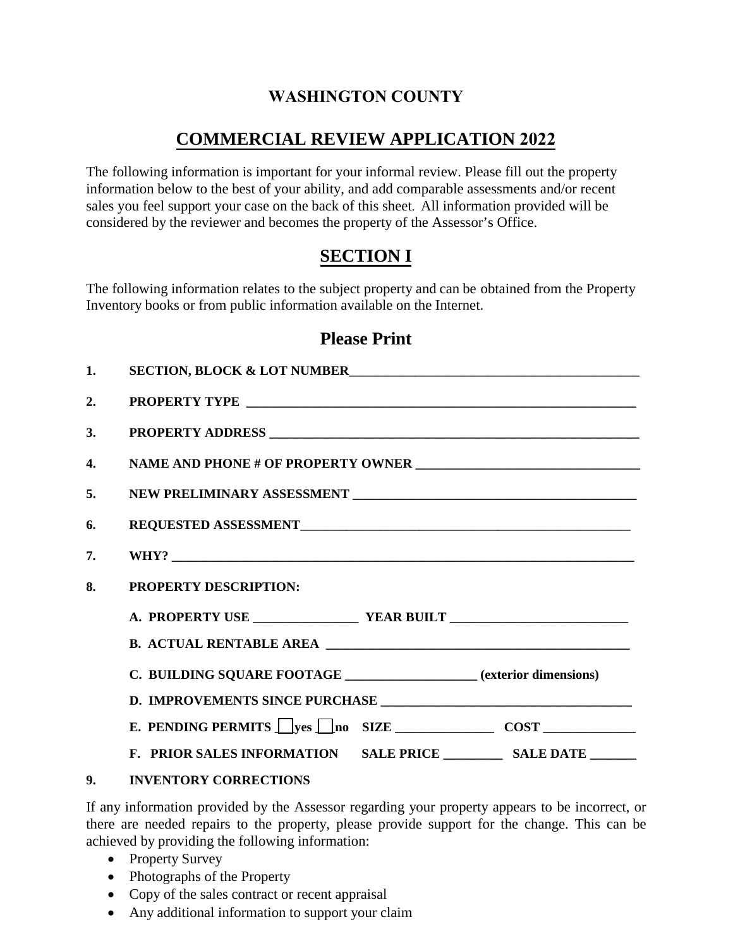## **WASHINGTON COUNTY**

# **COMMERCIAL REVIEW APPLICATION 2022**

The following information is important for your informal review. Please fill out the property information below to the best of your ability, and add comparable assessments and/or recent sales you feel support your case on the back of this sheet. All information provided will be considered by the reviewer and becomes the property of the Assessor's Office.

# **SECTION I**

The following information relates to the subject property and can be obtained from the Property Inventory books or from public information available on the Internet.

#### **Please Print**

| 1.           | SECTION, BLOCK & LOT NUMBER                                         |  |  |
|--------------|---------------------------------------------------------------------|--|--|
| 2.           |                                                                     |  |  |
| 3.           |                                                                     |  |  |
| 4.           |                                                                     |  |  |
| 5.           |                                                                     |  |  |
| 6.           |                                                                     |  |  |
| 7.           |                                                                     |  |  |
| 8.           | <b>PROPERTY DESCRIPTION:</b>                                        |  |  |
|              |                                                                     |  |  |
|              |                                                                     |  |  |
|              | C. BUILDING SQUARE FOOTAGE __________________ (exterior dimensions) |  |  |
|              |                                                                     |  |  |
|              |                                                                     |  |  |
|              |                                                                     |  |  |
| $\mathbf{0}$ | INVENTORY CORRECTIONS                                               |  |  |

**9. INVENTORY CORRECTIONS**

If any information provided by the Assessor regarding your property appears to be incorrect, or there are needed repairs to the property, please provide support for the change. This can be achieved by providing the following information:

- Property Survey
- Photographs of the Property
- Copy of the sales contract or recent appraisal
- Any additional information to support your claim